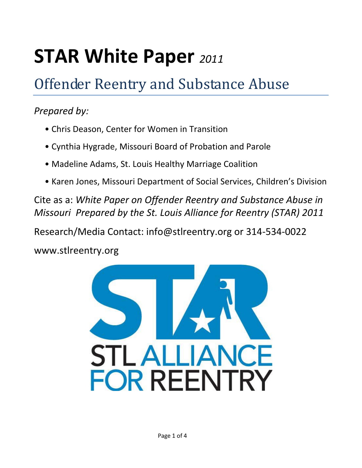# **STAR White Paper** *<sup>2011</sup>*

## Offender Reentry and Substance Abuse

#### *Prepared by:*

- Chris Deason, Center for Women in Transition
- Cynthia Hygrade, Missouri Board of Probation and Parole
- Madeline Adams, St. Louis Healthy Marriage Coalition
- Karen Jones, Missouri Department of Social Services, Children's Division

Cite as a: *White Paper on Offender Reentry and Substance Abuse in Missouri Prepared by the St. Louis Alliance for Reentry (STAR) 2011* 

Research/Media Contact: info@stlreentry.org or 314-534-0022

www.stlreentry.org

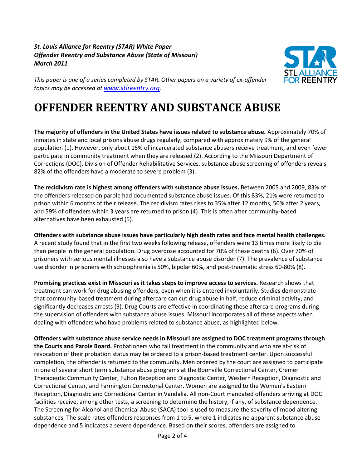*St. Louis Alliance for Reentry (STAR) White Paper Offender Reentry and Substance Abuse (State of Missouri) March 2011*



*This paper is one of a series completed by STAR. Other papers on a variety of ex-offender topics may be accessed at [www.stlreentry.org](http://www.stlreentry.org/).* 

### **OFFENDER REENTRY AND SUBSTANCE ABUSE**

**The majority of offenders in the United States have issues related to substance abuse.** Approximately 70% of inmates in state and local prisons abuse drugs regularly, compared with approximately 9% of the general population (1). However, only about 15% of incarcerated substance abusers receive treatment, and even fewer participate in community treatment when they are released (2). According to the Missouri Department of Corrections (DOC), Division of Offender Rehabilitative Services, substance abuse screening of offenders reveals 82% of the offenders have a moderate to severe problem (3).

**The recidivism rate is highest among offenders with substance abuse issues.** Between 2005 and 2009, 83% of the offenders released on parole had documented substance abuse issues. Of this 83%, 21% were returned to prison within 6 months of their release. The recidivism rates rises to 35% after 12 months, 50% after 2 years, and 59% of offenders within 3 years are returned to prison (4). This is often after community-based alternatives have been exhausted (5).

**Offenders with substance abuse issues have particularly high death rates and face mental health challenges.** A recent study found that in the first two weeks following release, offenders were 13 times more likely to die than people in the general population. Drug overdose accounted for 70% of these deaths (6). Over 70% of prisoners with serious mental illnesses also have a substance abuse disorder (7). The prevalence of substance use disorder in prisoners with schizophrenia is 50%, bipolar 60%, and post-traumatic stress 60-80% (8).

**Promising practices exist in Missouri as it takes steps to improve access to services.** Research shows that treatment can work for drug abusing offenders, even when it is entered involuntarily. Studies demonstrate that community-based treatment during aftercare can cut drug abuse in half, reduce criminal activity, and significantly decreases arrests (9). Drug Courts are effective in coordinating these aftercare programs during the supervision of offenders with substance abuse issues. Missouri incorporates all of these aspects when dealing with offenders who have problems related to substance abuse, as highlighted below.

**Offenders with substance abuse service needs in Missouri are assigned to DOC treatment programs through the Courts and Parole Board.** Probationers who fail treatment in the community and who are at-risk of revocation of their probation status may be ordered to a prison-based treatment center. Upon successful completion, the offender is returned to the community. Men ordered by the court are assigned to participate in one of several short term substance abuse programs at the Boonville Correctional Center, Cremer Therapeutic Community Center, Fulton Reception and Diagnostic Center, Western Reception, Diagnostic and Correctional Center, and Farmington Correctonal Center. Women are assigned to the Women's Eastern Reception, Diagnostic and Correctional Center in Vandalia. All non-Court mandated offenders arriving at DOC facilities receive, among other tests, a screening to determine the history, if any, of substance dependence. The Screening for Alcohol and Chemical Abuse (SACA) tool is used to measure the severity of mood altering substances. The scale rates offenders responses from 1 to 5, where 1 indicates no apparent substance abuse dependence and 5 indicates a severe dependence. Based on their scores, offenders are assigned to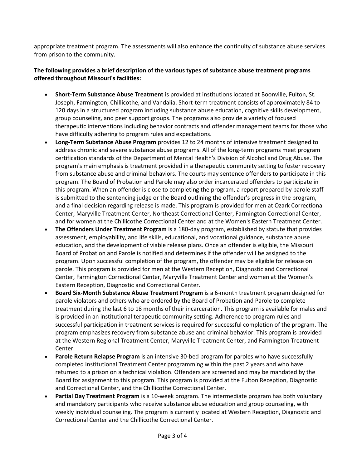appropriate treatment program. The assessments will also enhance the continuity of substance abuse services from prison to the community.

#### **The following provides a brief description of the various types of substance abuse treatment programs offered throughout Missouri's facilities:**

- **Short-Term Substance Abuse Treatment** is provided at institutions located at Boonville, Fulton, St. Joseph, Farmington, Chillicothe, and Vandalia. Short-term treatment consists of approximately 84 to 120 days in a structured program including substance abuse education, cognitive skills development, group counseling, and peer support groups. The programs also provide a variety of focused therapeutic interventions including behavior contracts and offender management teams for those who have difficulty adhering to program rules and expectations.
- **Long-Term Substance Abuse Program** provides 12 to 24 months of intensive treatment designed to address chronic and severe substance abuse programs. All of the long-term programs meet program certification standards of the Department of Mental Health's Division of Alcohol and Drug Abuse. The program's main emphasis is treatment provided in a therapeutic community setting to foster recovery from substance abuse and criminal behaviors. The courts may sentence offenders to participate in this program. The Board of Probation and Parole may also order incarcerated offenders to participate in this program. When an offender is close to completing the program, a report prepared by parole staff is submitted to the sentencing judge or the Board outlining the offender's progress in the program, and a final decision regarding release is made. This program is provided for men at Ozark Correctional Center, Maryville Treatment Center, Northeast Correctional Center, Farmington Correctional Center, and for women at the Chillicothe Correctional Center and at the Women's Eastern Treatment Center.
- **The Offenders Under Treatment Program** is a 180-day program, established by statute that provides assessment, employability, and life skills, educational, and vocational guidance, substance abuse education, and the development of viable release plans. Once an offender is eligible, the Missouri Board of Probation and Parole is notified and determines if the offender will be assigned to the program. Upon successful completion of the program, the offender may be eligible for release on parole. This program is provided for men at the Western Reception, Diagnostic and Correctional Center, Farmington Correctional Center, Maryville Treatment Center and women at the Women's Eastern Reception, Diagnostic and Correctional Center.
- **Board Six-Month Substance Abuse Treatment Program** is a 6-month treatment program designed for parole violators and others who are ordered by the Board of Probation and Parole to complete treatment during the last 6 to 18 months of their incarceration. This program is available for males and is provided in an institutional terapeutic community setting. Adherence to program rules and successful participation in treatment services is required for successful completion of the program. The program emphasizes recovery from substance abuse and criminal behavior. This program is provided at the Western Regional Treatment Center, Maryville Treatment Center, and Farmington Treatment Center.
- **Parole Return Relapse Program** is an intensive 30-bed program for paroles who have successfully completed Institutional Treatment Center programming within the past 2 years and who have returned to a prison on a technical violation. Offenders are screened and may be mandated by the Board for assignment to this program. This program is provided at the Fulton Reception, Diagnostic and Correctional Center, and the Chillicothe Correctional Center.
- **Partial Day Treatment Program** is a 10-week program. The intermediate program has both voluntary and mandatory participants who receive substance abuse education and group counseling, with weekly individual counseling. The program is currently located at Western Reception, Diagnostic and Correctional Center and the Chillicothe Correctional Center.